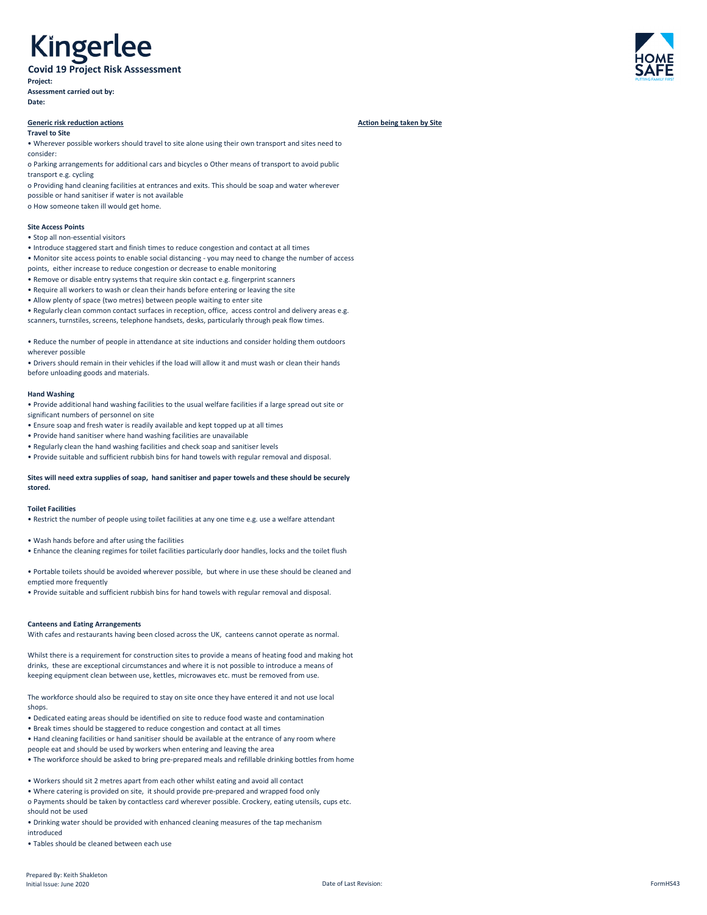# Kingerlee

**Covid 19 Project Risk Asssessment Project: Assessment carried out by:**

**Date:**

## **Generic risk reduction actions Action being taken by Site Action being taken by Site Action being taken by Site**

### **Travel to Site**

• Wherever possible workers should travel to site alone using their own transport and sites need to consider:

o Parking arrangements for additional cars and bicycles o Other means of transport to avoid public transport e.g. cycling

o Providing hand cleaning facilities at entrances and exits. This should be soap and water wherever possible or hand sanitiser if water is not available

o How someone taken ill would get home.

# **Site Access Points**

- Stop all non-essential visitors
- Introduce staggered start and finish times to reduce congestion and contact at all times
- Monitor site access points to enable social distancing you may need to change the number of access points, either increase to reduce congestion or decrease to enable monitoring
- Remove or disable entry systems that require skin contact e.g. fingerprint scanners
- Require all workers to wash or clean their hands before entering or leaving the site
- Allow plenty of space (two metres) between people waiting to enter site
- Regularly clean common contact surfaces in reception, office, access control and delivery areas e.g. scanners, turnstiles, screens, telephone handsets, desks, particularly through peak flow times.

• Reduce the number of people in attendance at site inductions and consider holding them outdoors wherever possible

• Drivers should remain in their vehicles if the load will allow it and must wash or clean their hands before unloading goods and materials.

## **Hand Washing**

• Provide additional hand washing facilities to the usual welfare facilities if a large spread out site or significant numbers of personnel on site

- Ensure soap and fresh water is readily available and kept topped up at all times
- Provide hand sanitiser where hand washing facilities are unavailable
- Regularly clean the hand washing facilities and check soap and sanitiser levels
- Provide suitable and sufficient rubbish bins for hand towels with regular removal and disposal.

# **Sites will need extra supplies of soap, hand sanitiser and paper towels and these should be securely stored.**

## **Toilet Facilities**

- Restrict the number of people using toilet facilities at any one time e.g. use a welfare attendant
- Wash hands before and after using the facilities
- Enhance the cleaning regimes for toilet facilities particularly door handles, locks and the toilet flush

• Portable toilets should be avoided wherever possible, but where in use these should be cleaned and emptied more frequently

• Provide suitable and sufficient rubbish bins for hand towels with regular removal and disposal.

## **Canteens and Eating Arrangements**

With cafes and restaurants having been closed across the UK, canteens cannot operate as normal.

Whilst there is a requirement for construction sites to provide a means of heating food and making hot drinks, these are exceptional circumstances and where it is not possible to introduce a means of keeping equipment clean between use, kettles, microwaves etc. must be removed from use.



The workforce should also be required to stay on site once they have entered it and not use local shops.

• Dedicated eating areas should be identified on site to reduce food waste and contamination

• Break times should be staggered to reduce congestion and contact at all times

• Hand cleaning facilities or hand sanitiser should be available at the entrance of any room where people eat and should be used by workers when entering and leaving the area

• The workforce should be asked to bring pre-prepared meals and refillable drinking bottles from home

• Workers should sit 2 metres apart from each other whilst eating and avoid all contact • Where catering is provided on site, it should provide pre-prepared and wrapped food only o Payments should be taken by contactless card wherever possible. Crockery, eating utensils, cups etc. should not be used

• Drinking water should be provided with enhanced cleaning measures of the tap mechanism introduced

• Tables should be cleaned between each use

Prepared By: Keith Shakleton Initial Issue: June 2020 Date of Last Revision: FormHS43